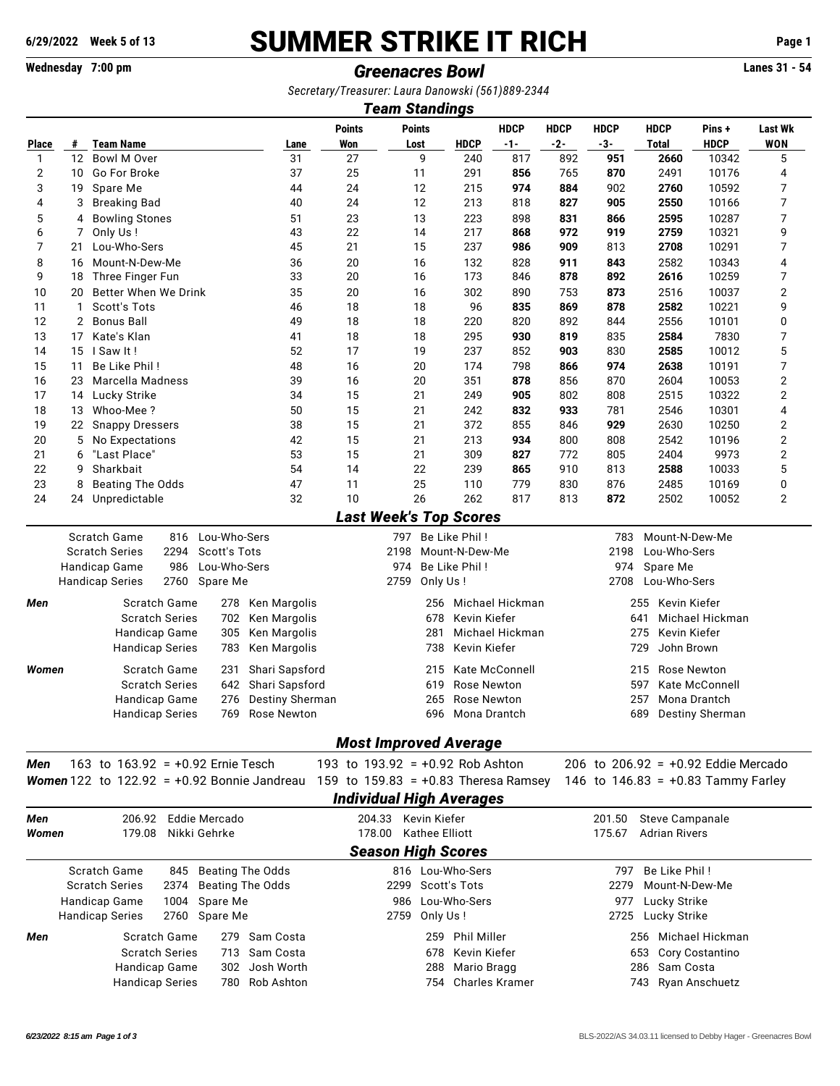# **6/29/2022 Week 5 of 13** SUMMER STRIKE IT RICH **Page 1**

# **Wednesday 7:00 pm** *Greenacres Bowl* **Lanes 31 - 54**

*Secretary/Treasurer: Laura Danowski (561)889-2344*

|                                                                                                 | <b>Team Standings</b>                                                                                                 |                                                          |                                    |                                                                    |                                   |                     |                       |                                          |                        |                                       |                 |                |  |  |  |  |  |  |
|-------------------------------------------------------------------------------------------------|-----------------------------------------------------------------------------------------------------------------------|----------------------------------------------------------|------------------------------------|--------------------------------------------------------------------|-----------------------------------|---------------------|-----------------------|------------------------------------------|------------------------|---------------------------------------|-----------------|----------------|--|--|--|--|--|--|
|                                                                                                 |                                                                                                                       |                                                          |                                    | <b>Points</b>                                                      | <b>Points</b>                     |                     | <b>HDCP</b>           | <b>HDCP</b>                              | <b>HDCP</b>            | <b>HDCP</b>                           | Pins +          | <b>Last Wk</b> |  |  |  |  |  |  |
| Place                                                                                           | #                                                                                                                     | <b>Team Name</b>                                         | Lane                               | Won                                                                | Lost                              | <b>HDCP</b>         | $-1-$                 | $-2-$                                    | $-3-$                  | <b>Total</b>                          | <b>HDCP</b>     | <b>WON</b>     |  |  |  |  |  |  |
| 1                                                                                               | 12                                                                                                                    | Bowl M Over                                              | 31                                 | 27                                                                 | 9                                 | 240                 | 817                   | 892                                      | 951                    | 2660                                  | 10342           | 5              |  |  |  |  |  |  |
| $\overline{2}$                                                                                  | 10                                                                                                                    | Go For Broke                                             | 37                                 | 25                                                                 | 11                                | 291                 | 856                   | 765                                      | 870                    | 2491                                  | 10176           | 4              |  |  |  |  |  |  |
| 3                                                                                               | 19                                                                                                                    | Spare Me                                                 | 44                                 | 24                                                                 | 12                                | 215                 | 974                   | 884                                      | 902                    | 2760                                  | 10592           | 7              |  |  |  |  |  |  |
| 4                                                                                               | 3                                                                                                                     | <b>Breaking Bad</b>                                      | 40                                 | 24                                                                 | 12                                | 213                 | 818                   | 827                                      | 905                    | 2550                                  | 10166           | 7              |  |  |  |  |  |  |
| 5                                                                                               | 4                                                                                                                     | <b>Bowling Stones</b>                                    | 51                                 | 23                                                                 | 13                                | 223                 | 898                   | 831                                      | 866                    | 2595                                  | 10287           | 7              |  |  |  |  |  |  |
| 6                                                                                               | 7                                                                                                                     | Only Us!                                                 | 43                                 | 22                                                                 | 14                                | 217                 | 868                   | 972                                      | 919                    | 2759                                  | 10321           | 9              |  |  |  |  |  |  |
| 7                                                                                               | 21                                                                                                                    | Lou-Who-Sers                                             | 45                                 | 21                                                                 | 15                                | 237                 | 986                   | 909                                      | 813                    | 2708                                  | 10291           | 7              |  |  |  |  |  |  |
| 8                                                                                               | 16                                                                                                                    | Mount-N-Dew-Me                                           | 36                                 | 20                                                                 | 16                                | 132                 | 828                   | 911                                      | 843                    | 2582                                  | 10343           | 4              |  |  |  |  |  |  |
| 9                                                                                               | 18                                                                                                                    | Three Finger Fun                                         | 33                                 | 20                                                                 | 16                                | 173                 | 846                   | 878                                      | 892                    | 2616                                  | 10259           | 7              |  |  |  |  |  |  |
| 10                                                                                              | 20                                                                                                                    | Better When We Drink                                     | 35                                 | 20                                                                 | 16                                | 302                 | 890                   | 753                                      | 873                    | 2516                                  |                 | 2<br>10037     |  |  |  |  |  |  |
| 11                                                                                              | $\mathbf{1}$                                                                                                          | Scott's Tots                                             | 46                                 | 18                                                                 | 18                                | 96                  | 835                   | 869                                      | 878                    | 2582                                  | 10221           | 9              |  |  |  |  |  |  |
| 12                                                                                              | $\overline{2}$                                                                                                        | <b>Bonus Ball</b>                                        | 49                                 | 18                                                                 | 18                                | 220<br>820          |                       | 892                                      | 844                    | 2556                                  | 10101           | 0              |  |  |  |  |  |  |
| 13                                                                                              | 17                                                                                                                    | Kate's Klan                                              | 41                                 | 18                                                                 | 18                                | 295                 | 930                   | 819                                      | 835                    | 2584                                  | 7830            | 7              |  |  |  |  |  |  |
| 14                                                                                              | 15                                                                                                                    | I Saw It!                                                | 52                                 | 17                                                                 | 19                                | 237                 | 852                   | 903                                      | 830                    | 2585                                  | 10012           | 5              |  |  |  |  |  |  |
| 15                                                                                              | 11                                                                                                                    | Be Like Phil!                                            | 48                                 | 16                                                                 | 20                                | 174                 | 798                   | 866                                      | 974                    | 2638                                  | 10191           | 7              |  |  |  |  |  |  |
| 16                                                                                              | 23                                                                                                                    | Marcella Madness                                         | 39                                 | 16                                                                 | 20                                | 351                 | 878                   | 856                                      | 870                    | 2604                                  | 10053           | 2              |  |  |  |  |  |  |
| 17                                                                                              |                                                                                                                       | 14 Lucky Strike                                          | 34                                 | 15                                                                 | 21                                | 249                 | 905                   | 802                                      | 808                    | 2515                                  | 10322           | 2              |  |  |  |  |  |  |
|                                                                                                 |                                                                                                                       |                                                          |                                    |                                                                    |                                   |                     |                       |                                          |                        |                                       |                 |                |  |  |  |  |  |  |
| 18                                                                                              | 13                                                                                                                    | Whoo-Mee?                                                | 50                                 | 15                                                                 | 21                                | 242                 | 832                   | 933                                      | 781                    | 2546                                  | 10301           | 4              |  |  |  |  |  |  |
| 19                                                                                              | 22                                                                                                                    | <b>Snappy Dressers</b>                                   | 38                                 | 15                                                                 | 21                                | 372                 | 855                   | 846                                      | 929                    | 2630                                  | 10250           | 2              |  |  |  |  |  |  |
| 20                                                                                              | 5                                                                                                                     | No Expectations                                          | 42                                 | 15                                                                 | 21                                | 213                 | 934                   | 800                                      | 808                    | 2542                                  | 10196           | 2              |  |  |  |  |  |  |
| 21                                                                                              | 6                                                                                                                     | "Last Place"                                             | 53                                 | 15                                                                 | 21                                | 309                 | 827                   | 772                                      | 805                    | 2404                                  | 9973            | 2              |  |  |  |  |  |  |
| 22                                                                                              | 9                                                                                                                     | Sharkbait                                                | 54                                 | 14                                                                 | 22                                | 239                 | 865                   | 910                                      | 813                    | 2588                                  | 10033           | 5              |  |  |  |  |  |  |
| 23                                                                                              | 8                                                                                                                     | <b>Beating The Odds</b>                                  | 47                                 | 11                                                                 | 25                                | 110                 | 779                   | 830                                      | 876                    | 2485                                  | 10169           | 0              |  |  |  |  |  |  |
| 24                                                                                              | 24                                                                                                                    | Unpredictable                                            | 32                                 | 10                                                                 | 26                                | 262                 | 817                   | 813                                      | 872                    | 2502                                  | 10052           | 2              |  |  |  |  |  |  |
|                                                                                                 | <b>Last Week's Top Scores</b><br>Scratch Game<br>Lou-Who-Sers<br>Be Like Phil!<br>816<br>Mount-N-Dew-Me<br>797<br>783 |                                                          |                                    |                                                                    |                                   |                     |                       |                                          |                        |                                       |                 |                |  |  |  |  |  |  |
| <b>Scratch Series</b><br>2294<br>Scott's Tots<br>2198<br>Mount-N-Dew-Me<br>2198<br>Lou-Who-Sers |                                                                                                                       |                                                          |                                    |                                                                    |                                   |                     |                       |                                          |                        |                                       |                 |                |  |  |  |  |  |  |
|                                                                                                 |                                                                                                                       | Handicap Game<br>986<br>Lou-Who-Sers                     |                                    |                                                                    | 974                               | Be Like Phil!       |                       |                                          | 974                    | Spare Me                              |                 |                |  |  |  |  |  |  |
|                                                                                                 |                                                                                                                       | 2760<br>Spare Me<br><b>Handicap Series</b>               |                                    |                                                                    | 2759<br>Only Us!                  |                     |                       |                                          | 2708                   | Lou-Who-Sers                          |                 |                |  |  |  |  |  |  |
| Men                                                                                             |                                                                                                                       | Scratch Game<br>278                                      | Ken Margolis                       |                                                                    | 256                               |                     | Michael Hickman       |                                          |                        | 255 Kevin Kiefer                      |                 |                |  |  |  |  |  |  |
|                                                                                                 |                                                                                                                       | <b>Scratch Series</b><br>702                             | Ken Margolis                       |                                                                    | 678                               | Kevin Kiefer        |                       |                                          | 641<br>Michael Hickman |                                       |                 |                |  |  |  |  |  |  |
|                                                                                                 |                                                                                                                       | Handicap Game<br>305                                     | Ken Margolis                       |                                                                    | 281                               |                     | Michael Hickman       | 275<br>Kevin Kiefer<br>John Brown<br>729 |                        |                                       |                 |                |  |  |  |  |  |  |
|                                                                                                 |                                                                                                                       | <b>Handicap Series</b><br>783                            | Ken Margolis                       |                                                                    | 738                               | Kevin Kiefer        |                       |                                          |                        |                                       |                 |                |  |  |  |  |  |  |
|                                                                                                 |                                                                                                                       |                                                          |                                    |                                                                    |                                   |                     |                       |                                          |                        |                                       |                 |                |  |  |  |  |  |  |
| Women                                                                                           |                                                                                                                       | Scratch Game<br>231                                      | Shari Sapsford                     |                                                                    | 215                               |                     | <b>Kate McConnell</b> | <b>Rose Newton</b><br>215                |                        |                                       |                 |                |  |  |  |  |  |  |
|                                                                                                 |                                                                                                                       | <b>Scratch Series</b><br>642                             | Shari Sapsford                     |                                                                    | 619                               |                     | <b>Rose Newton</b>    |                                          |                        | 597<br><b>Kate McConnell</b>          |                 |                |  |  |  |  |  |  |
|                                                                                                 |                                                                                                                       | Handicap Game<br>276                                     | Destiny Sherman                    |                                                                    | 265                               | Rose Newton         |                       |                                          |                        | 257                                   | Mona Drantch    |                |  |  |  |  |  |  |
|                                                                                                 |                                                                                                                       | Handicap Series<br>769                                   | 696<br>Rose Newton<br>Mona Drantch |                                                                    |                                   |                     |                       |                                          | 689<br>Destiny Sherman |                                       |                 |                |  |  |  |  |  |  |
|                                                                                                 |                                                                                                                       |                                                          |                                    |                                                                    |                                   |                     |                       |                                          |                        |                                       |                 |                |  |  |  |  |  |  |
| Men                                                                                             |                                                                                                                       | 163 to $163.92 = +0.92$ Ernie Tesch                      |                                    | <b>Most Improved Average</b><br>193 to $193.92 = +0.92$ Rob Ashton |                                   |                     |                       |                                          |                        | 206 to 206.92 = $+0.92$ Eddie Mercado |                 |                |  |  |  |  |  |  |
|                                                                                                 |                                                                                                                       | <b>Women</b> 122 to 122.92 = $+0.92$ Bonnie Jandreau     |                                    | 159 to $159.83 = +0.83$ Theresa Ramsey                             |                                   |                     |                       |                                          |                        |                                       |                 |                |  |  |  |  |  |  |
|                                                                                                 |                                                                                                                       |                                                          |                                    |                                                                    |                                   |                     |                       |                                          |                        | 146 to $146.83 = +0.83$ Tammy Farley  |                 |                |  |  |  |  |  |  |
|                                                                                                 |                                                                                                                       |                                                          |                                    | <b>Individual High Averages</b>                                    |                                   |                     |                       |                                          |                        |                                       |                 |                |  |  |  |  |  |  |
| Men                                                                                             |                                                                                                                       | 206.92 Eddie Mercado                                     |                                    |                                                                    | 204.33 Kevin Kiefer               |                     |                       |                                          | 201.50                 | <b>Steve Campanale</b>                |                 |                |  |  |  |  |  |  |
| Women                                                                                           |                                                                                                                       | 179.08<br>Nikki Gehrke                                   | 178.00                             | <b>Kathee Elliott</b>                                              |                                   |                     |                       | 175.67                                   | <b>Adrian Rivers</b>   |                                       |                 |                |  |  |  |  |  |  |
|                                                                                                 |                                                                                                                       |                                                          |                                    |                                                                    | <b>Season High Scores</b>         |                     |                       |                                          |                        |                                       |                 |                |  |  |  |  |  |  |
|                                                                                                 |                                                                                                                       | Scratch Game<br><b>Beating The Odds</b><br>845           |                                    |                                                                    | 816 Lou-Who-Sers                  |                     |                       |                                          | 797                    | Be Like Phil!                         |                 |                |  |  |  |  |  |  |
|                                                                                                 |                                                                                                                       | <b>Scratch Series</b><br><b>Beating The Odds</b><br>2374 |                                    |                                                                    | 2299 Scott's Tots                 |                     |                       |                                          | 2279<br>Mount-N-Dew-Me |                                       |                 |                |  |  |  |  |  |  |
|                                                                                                 |                                                                                                                       | Handicap Game<br>1004<br>Spare Me                        |                                    |                                                                    |                                   | 977<br>Lucky Strike |                       |                                          |                        |                                       |                 |                |  |  |  |  |  |  |
|                                                                                                 |                                                                                                                       | <b>Handicap Series</b><br>2760 Spare Me                  |                                    |                                                                    | 986 Lou-Who-Sers<br>2759 Only Us! |                     |                       |                                          |                        | 2725 Lucky Strike                     |                 |                |  |  |  |  |  |  |
| Men                                                                                             |                                                                                                                       | Scratch Game<br>279                                      | Sam Costa                          |                                                                    | 259                               | <b>Phil Miller</b>  |                       |                                          |                        | 256 Michael Hickman                   |                 |                |  |  |  |  |  |  |
|                                                                                                 |                                                                                                                       | <b>Scratch Series</b><br>713                             | Sam Costa                          |                                                                    | 678                               | Kevin Kiefer        |                       |                                          |                        | 653                                   | Cory Costantino |                |  |  |  |  |  |  |
|                                                                                                 |                                                                                                                       | Handicap Game<br>302                                     | Josh Worth                         |                                                                    | 288                               | Mario Bragg         |                       |                                          |                        | Sam Costa<br>286                      |                 |                |  |  |  |  |  |  |
|                                                                                                 |                                                                                                                       |                                                          |                                    |                                                                    |                                   |                     |                       |                                          |                        |                                       |                 |                |  |  |  |  |  |  |
| Rob Ashton<br><b>Charles Kramer</b><br><b>Handicap Series</b><br>780<br>754                     |                                                                                                                       |                                                          |                                    |                                                                    |                                   |                     |                       |                                          |                        | 743 Ryan Anschuetz                    |                 |                |  |  |  |  |  |  |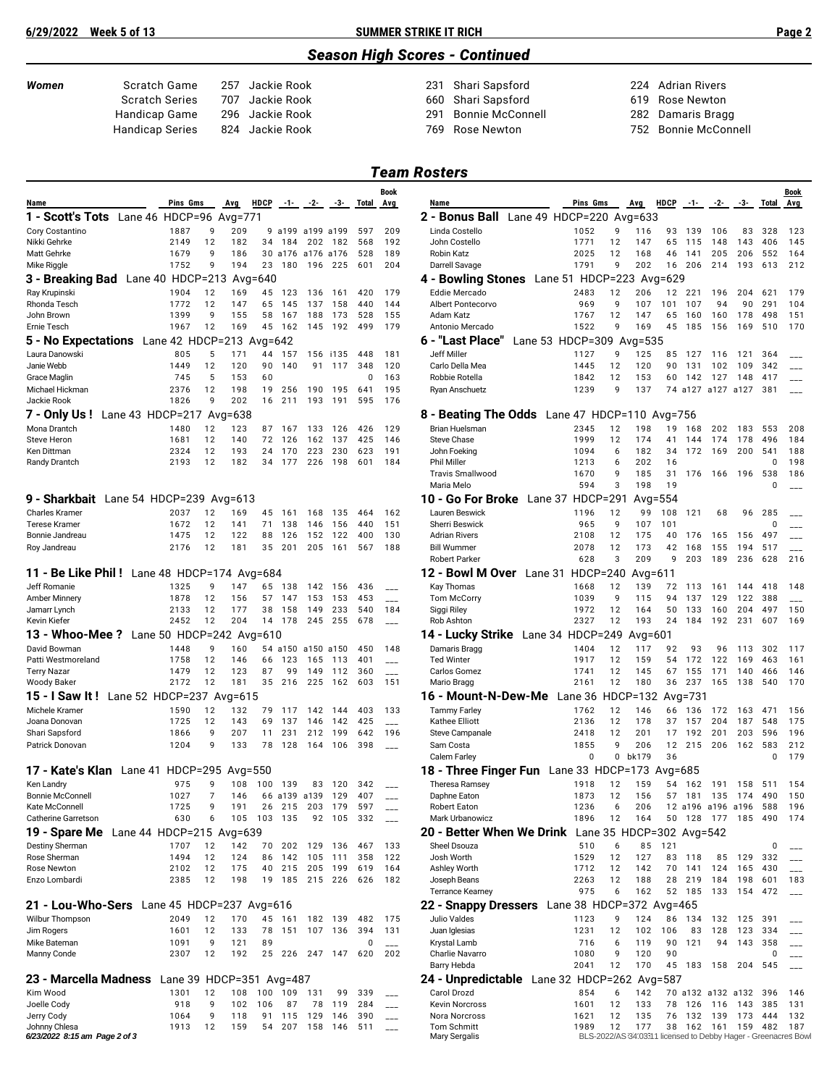### **6/29/2022 Week 5 of 13 SUMMER STRIKE IT RICH Page 2**

### *Season High Scores - Continued*

| Women | Scratch Game          | 2 |
|-------|-----------------------|---|
|       | <b>Scratch Series</b> | 7 |
|       | Handicap Game         | 2 |
|       | Handican Series       | Զ |

*Women* Scratch Game 257 Jackie Rook 231 Shari Sapsford 224 Adrian Rivers 907 Jackie Rook 660 Shari Sapsford<br>196 Jackie Rook 619 - 291 Bonnie McConr 291 Bonnie McConnell 282 Damaris Bragg

dicap Series 824 Jackie Rook 769 Rose Newton 752 Bonnie McConnell

## *Team Rosters*

| Name<br>1 - Scott's Tots Lane 46 HDCP=96 Avg=771   | Pins Gms                 |          | <b>Avg</b> | <b>HDCP</b> | $-1-$        | $-2-$      | -3-            | Total           | Avg                             | Name                                                               | Pins Gms                 |             | <b>Avg</b>                                                           | <b>HDCP</b> | $-1-$      | $-2-$              | -3-            | Total      | Avg        |
|----------------------------------------------------|--------------------------|----------|------------|-------------|--------------|------------|----------------|-----------------|---------------------------------|--------------------------------------------------------------------|--------------------------|-------------|----------------------------------------------------------------------|-------------|------------|--------------------|----------------|------------|------------|
|                                                    |                          |          |            |             |              |            |                |                 |                                 |                                                                    |                          |             |                                                                      |             |            |                    |                |            |            |
|                                                    |                          |          |            |             |              |            |                |                 |                                 | 2 - Bonus Ball Lane 49 HDCP=220 Avg=633                            |                          |             |                                                                      |             |            |                    |                |            |            |
| Cory Costantino                                    | 1887                     | 9        | 209        | 9           | a199         | a199 a199  |                | 597             | 209                             | Linda Costello                                                     | 1052                     | 9           | 116                                                                  | 93          | 139        | 106                | 83             | 328        | 123        |
| Nikki Gehrke<br>Matt Gehrke                        | 2149<br>1679             | 12<br>9  | 182<br>186 | 34<br>30    | 184<br>a176  | a176 a176  | 202 182        | 568<br>528      | 192<br>189                      | John Costello<br>Robin Katz                                        | 1771<br>2025             | 12<br>12    | 147<br>168                                                           | 65<br>46    | 115<br>141 | 148<br>205         | 143<br>206     | 406<br>552 | 145<br>164 |
| Mike Riggle                                        | 1752                     | 9        | 194        |             | 23 180       | 196        | 225            | 601             | 204                             | Darrell Savage                                                     | 1791                     | 9           | 202                                                                  | 16          | 206        | 214                | 193            | 613        | 212        |
| 3 - Breaking Bad Lane 40 HDCP=213                  |                          |          |            | Avg=640     |              |            |                |                 |                                 | 4 - Bowling Stones Lane 51 HDCP=223 Avg=629                        |                          |             |                                                                      |             |            |                    |                |            |            |
| Ray Krupinski                                      | 1904                     | 12       | 169        | 45          | 123          | 136        | 161            | 420             | 179                             | Eddie Mercado                                                      | 2483                     | 12          | 206                                                                  | 12          | 221        | 196                | 204            | 621        | 179        |
| Rhonda Tesch                                       | 1772                     | 12       | 147        | 65          | 145          | 137        | 158            | 440             | 144                             | Albert Pontecorvo                                                  | 969                      | 9           | 107                                                                  | 101         | 107        | 94                 | 90             | 291        | 104        |
| John Brown                                         | 1399                     | 9        | 155        | 58          | 167          | 188        | 173            | 528             | 155                             | Adam Katz                                                          | 1767                     | 12          | 147                                                                  | 65          | 160        | 160                | 178            | 498        | 151        |
| Ernie Tesch                                        | 1967                     | 12       | 169        | 45          | 162          | 145        | 192            | 499             | 179                             | Antonio Mercado                                                    | 1522                     | 9           | 169                                                                  | 45          | 185        | 156                | 169            | 510        | 170        |
| 5 - No Expectations Lane 42 HDCP=213 Avg=642       |                          |          |            |             |              |            |                |                 |                                 | 6 - "Last Place"                                                   | Lane 53 HDCP=309 Avg=535 |             |                                                                      |             |            |                    |                |            |            |
| Laura Danowski                                     | 805                      | 5        | 171        | 44          | 157          |            | 156 i135       | 448             | 181                             | Jeff Miller                                                        | 1127                     | 9           | 125                                                                  | 85          | 127        | 116                | 121            | 364        |            |
| Janie Webb<br><b>Grace Maglin</b>                  | 1449<br>745              | 12<br>5  | 120<br>153 | 90<br>60    | 140          | 91         | 117            | 348<br>$\Omega$ | 120<br>163                      | Carlo Della Mea<br>Robbie Rotella                                  | 1445<br>1842             | 12<br>12    | 120<br>153                                                           | 90<br>60    | 131<br>142 | 102<br>127         | 109<br>148     | 342<br>417 |            |
| Michael Hickman                                    | 2376                     | 12       | 198        | 19          | 256          | 190        | 195            | 641             | 195                             | Ryan Anschuetz                                                     | 1239                     | 9           | 137                                                                  |             |            | 74 a127 a127 a127  |                | 381        |            |
| Jackie Rook                                        | 1826                     | 9        | 202        | 16          | 211          | 193        | 191            | 595             | 176                             |                                                                    |                          |             |                                                                      |             |            |                    |                |            |            |
| <b>7 - Only Us!</b> Lane 43 HDCP=217 Avg=638       |                          |          |            |             |              |            |                |                 |                                 | 8 - Beating The Odds Lane 47 HDCP=110 Avg=756                      |                          |             |                                                                      |             |            |                    |                |            |            |
| Mona Drantch                                       | 1480                     | 12       | 123        | 87          | 167          | 133        | 126            | 426             | 129                             | <b>Brian Huelsman</b>                                              | 2345                     | 12          | 198                                                                  | 19          | 168        | 202                | 183            | 553        | 208        |
| Steve Heron                                        | 1681                     | 12       | 140        | 72          | 126          | 162        | 137            | 425             | 146                             | Steve Chase                                                        | 1999                     | 12          | 174                                                                  | 41          | 144        | 174                | 178            | 496        | 184        |
| Ken Dittman                                        | 2324                     | 12       | 193        | 24          | 170          | 223        | 230            | 623             | 191                             | John Foeking                                                       | 1094                     | 6           | 182                                                                  | 34          | 172        | 169                | 200            | 541        | 188        |
| Randy Drantch                                      | 2193                     | 12       | 182        |             | 34 177       | 226        | 198            | 601             | 184                             | <b>Phil Miller</b><br><b>Travis Smallwood</b>                      | 1213<br>1670             | 6<br>9      | 202<br>185                                                           | 16<br>31    |            |                    | 196            | 0<br>538   | 198<br>186 |
|                                                    |                          |          |            |             |              |            |                |                 |                                 | Maria Melo                                                         | 594                      | 3           | 198                                                                  | 19          | 176        | 166                |                | $\Omega$   |            |
| 9 - Sharkbait Lane 54 HDCP=239 Avg=613             |                          |          |            |             |              |            |                |                 |                                 | 10 - Go For Broke<br>Lane 37                                       | HDCP=291                 |             |                                                                      | Avg= $554$  |            |                    |                |            |            |
| <b>Charles Kramer</b>                              | 2037                     | 12       | 169        | 45          | 161          | 168        | 135            | 464             | 162                             | Lauren Beswick                                                     | 1196                     | 12          | 99                                                                   | 108         | 121        | 68                 | 96             | 285        |            |
| <b>Terese Kramer</b>                               | 1672                     | 12       | 141        | 71          | 138          | 146        | 156            | 440             | 151                             | Sherri Beswick                                                     | 965                      | 9           | 107                                                                  | 101         |            |                    |                | 0          |            |
| Bonnie Jandreau                                    | 1475                     | 12       | 122        | 88          | 126          | 152        | 122            | 400             | 130                             | <b>Adrian Rivers</b>                                               | 2108                     | 12          | 175                                                                  | 40          | 176        | 165                | 156            | 497        |            |
| Roy Jandreau                                       | 2176                     | 12       | 181        | 35          | 201          | 205        | 161            | 567             | 188                             | <b>Bill Wummer</b>                                                 | 2078                     | 12          | 173                                                                  | 42          | 168        | 155                | 194            | 517        |            |
|                                                    |                          |          |            |             |              |            |                |                 |                                 | <b>Robert Parker</b>                                               | 628                      | 3           | 209                                                                  | 9           | 203        | 189                | 236            | 628        | 216        |
| <b>11 - Be Like Phil!</b> Lane 48 HDCP=174 Avg=684 |                          |          |            |             |              |            |                |                 |                                 | 12 - Bowl M Over Lane 31 HDCP=240                                  |                          |             | Avg= $611$                                                           |             |            |                    |                |            |            |
| Jeff Romanie                                       | 1325                     | 9        | 147        | 65          | 138          | 142        | 156            | 436             |                                 | Kay Thomas                                                         | 1668                     | 12          | 139                                                                  | 72          | 113        | 161                | 144            | 418        | 148        |
| Amber Minnery<br>Jamarr Lynch                      | 1878<br>2133             | 12<br>12 | 156<br>177 | 57<br>38    | -147<br>158  | 153<br>149 | 153<br>233     | 453<br>540      | $\overline{a}$<br>184           | <b>Tom McCorry</b><br>Siggi Riley                                  | 1039<br>1972             | 9<br>12     | 115<br>164                                                           | 94<br>50    | 137<br>133 | 129<br>160         | 122<br>204     | 388<br>497 | 150        |
| Kevin Kiefer                                       | 2452                     | 12       | 204        |             | 14 178       | 245        | 255            | 678             |                                 | Rob Ashton                                                         | 2327                     | 12          | 193                                                                  | 24          | 184        | 192                | 231            | 607        | 169        |
| 13 - Whoo-Mee ?                                    | Lane 50 HDCP=242 Avg=610 |          |            |             |              |            |                |                 |                                 | 14 - Lucky Strike                                                  | Lane 34 HDCP=249         |             | $Avg=601$                                                            |             |            |                    |                |            |            |
| David Bowman                                       | 1448                     | 9        | 160        | 54          | a150         | a150 a150  |                | 450             | 148                             | Damaris Bragg                                                      | 1404                     | 12          | 117                                                                  | 92          | 93         | 96                 | 113            | 302        | 117        |
| Patti Westmoreland                                 | 1758                     | 12       | 146        | 66          | 123          | 165        | 113            | 401             | $\overline{a}$                  | <b>Ted Winter</b>                                                  | 1917                     | 12          | 159                                                                  | 54          | 172        | 122                | 169            | 463        | 161        |
| <b>Terry Nazar</b>                                 | 1479                     | 12       | 123        | 87          | 99           | 149        | 112            | 360             | $\overline{a}$                  | Carlos Gomez                                                       | 1741                     | 12          | 145                                                                  | 67          | 155        | 171                | 140            | 466        | 146        |
| <b>Woody Baker</b>                                 | 2172                     | 12       | 181        |             | 35 216       | 225        | 162            | 603             | 151                             | Mario Bragg                                                        | 2161                     | 12          | 180                                                                  | 36          | 237        | 165                | 138            | 540        | 170        |
| Lane 52 HDCP=237 Avg=615<br>15 - I Saw It!         |                          |          |            |             |              |            |                |                 |                                 | <b>16 - Mount-N-Dew-Me</b> Lane 36                                 |                          |             | HDCP=132 Avg=731                                                     |             |            |                    |                |            |            |
| Michele Kramer<br>Joana Donovan                    | 1590<br>1725             | 12<br>12 | 132<br>143 | 79<br>69    | 117<br>137   | 142<br>146 | 144<br>142     | 403<br>425      | 133                             | <b>Tammy Farley</b><br>Kathee Elliott                              | 1762<br>2136             | 12<br>12    | 146<br>178                                                           | 66<br>37    | 136<br>157 | 204                | 172 163<br>187 | 471<br>548 | 156<br>175 |
| Shari Sapsford                                     | 1866                     | 9        | 207        | 11          | 231          | 212        | 199            | 642             | $\frac{1}{2}$<br>196            | Steve Campanale                                                    | 2418                     | 12          | 201                                                                  | 17          | 192        | 201                | 203            | 596        | 196        |
| Patrick Donovan                                    | 1204                     | 9        | 133        | 78          | 128          | 164        | 106            | 398             |                                 | Sam Costa                                                          | 1855                     | 9           | 206                                                                  | 12          | 215        | 206                | 162            | 583        | 212        |
|                                                    |                          |          |            |             |              |            |                |                 |                                 | Calem Farley                                                       | 0                        | $\mathbf 0$ | bk179                                                                | 36          |            |                    |                | $\Omega$   | 179        |
| 17 - Kate's Klan Lane 41 HDCP=295                  |                          |          | Avg= $550$ |             |              |            |                |                 |                                 | 18 - Three Finger Fun Lane 33 HDCP=173 Avg=685                     |                          |             |                                                                      |             |            |                    |                |            |            |
| Ken Landrv                                         | 975                      | 9        | 108        | 100         | 139          | 83         | 120            | 342             |                                 | <b>Theresa Ramsev</b>                                              | 1918                     | 12          | 159                                                                  | 54          | 162        | 191                | 158            | 511        | 154        |
| <b>Bonnie McConnell</b>                            | 1027                     | 7        | 146        |             | 66 a139 a139 |            | 129            | 407             |                                 | Daphne Eaton                                                       | 1873                     | 12          | 156                                                                  |             | 57 181     | 135                | 174            | 490        | 150        |
| Kate McConnell                                     | 1725                     | 9        | 191        | 26          | 215          | 203        | 179            | 597             |                                 | <b>Robert Eaton</b>                                                | 1236                     | 6           | 206                                                                  | 12          | a<br>196   | a196 a196          |                | 588        | 196        |
| Catherine Garretson                                | 630                      | 6        |            | 105 103 135 |              |            | 92 105 332     |                 | $\overline{\phantom{a}}$        | Mark Urbanowicz                                                    | 1896                     | $12$        | 164                                                                  |             | 50 128     | 177 185            |                | 490        | 174        |
| 19 - Spare Me Lane 44 HDCP=215 Avg=639             |                          |          |            |             |              |            |                |                 |                                 | 20 - Better When We Drink Lane 35 HDCP=302 Avg=542<br>Sheel Dsouza | 510                      | 6           | 85                                                                   |             |            |                    |                |            |            |
| <b>Destiny Sherman</b><br>Rose Sherman             | 1707<br>1494             | 12<br>12 | 142<br>124 | 70<br>86    | 202<br>142   | 129        | 136<br>105 111 | 467<br>358      | 133<br>122                      | Josh Worth                                                         | 1529                     | 12          | 127                                                                  | 121         | 83 118     |                    | 85 129         | 0<br>332   |            |
| Rose Newton                                        | 2102                     | 12       | 175        | 40          | 215          | 205        | 199            | 619             | 164                             | Ashley Worth                                                       | 1712                     | 12          | 142                                                                  | 70          | 141        | 124                | 165            | 430        |            |
| Enzo Lombardi                                      | 2385                     | 12       | 198        |             | 19 185       |            | 215 226        | 626             | 182                             | Joseph Beans                                                       | 2263                     | 12          | 188                                                                  | 28          | 219        | 184                | 198            | 601        | 183        |
|                                                    |                          |          |            |             |              |            |                |                 |                                 | <b>Terrance Kearney</b>                                            | 975                      | 6           | 162                                                                  |             | 52 185     | 133                | 154 472        |            |            |
| 21 - Lou-Who-Sers Lane 45 HDCP=237 Avg=616         |                          |          |            |             |              |            |                |                 |                                 | 22 - Snappy Dressers Lane 38 HDCP=372 Avg=465                      |                          |             |                                                                      |             |            |                    |                |            |            |
| Wilbur Thompson                                    | 2049                     | 12       | 170        |             | 45 161       |            | 182 139        | 482             | 175                             | Julio Valdes                                                       | 1123                     | 9           | 124                                                                  |             |            | 86 134 132 125     |                | 391        |            |
| Jim Rogers                                         | 1601                     | 12<br>9  | 133<br>121 | 78<br>89    | 151          |            | 107 136        | 394<br>0        | 131                             | Juan Iglesias                                                      | 1231                     | 12<br>6     | 102<br>119                                                           | 106<br>90   | 83<br>121  | 128                | 123<br>143     | 334<br>358 |            |
| Mike Bateman<br>Manny Conde                        | 1091<br>2307             | 12       | 192        |             | 25 226       | 247 147    |                | 620             | $\overline{\phantom{a}}$<br>202 | Krystal Lamb<br>Charlie Navarro                                    | 716<br>1080              | 9           | 120                                                                  | 90          |            | 94                 |                | 0          |            |
|                                                    |                          |          |            |             |              |            |                |                 |                                 | Barry Hebda                                                        | 2041                     | 12          | 170                                                                  |             |            | 45 183 158 204 545 |                |            |            |
| 23 - Marcella Madness Lane 39 HDCP=351 Avg=487     |                          |          |            |             |              |            |                |                 |                                 | 24 - Unpredictable Lane 32 HDCP=262 Avg=587                        |                          |             |                                                                      |             |            |                    |                |            |            |
| Kim Wood                                           | 1301                     | 12       | 108        | 100         | 109          | 131        | 99             | 339             | $---$                           | Carol Drozd                                                        | 854                      | 6           | 142                                                                  |             |            | 70 a132 a132 a132  |                | 396        | 146        |
| Joelle Cody                                        | 918                      | 9        | 102        | 106         | 87           | 78         | 119            | 284             | $\frac{1}{2}$                   | <b>Kevin Norcross</b>                                              | 1601                     | 12          | 133                                                                  | 78          | 126        | 116                | 143            | 385        | 131        |
| Jerry Cody                                         | 1064                     | 9        | 118        | 91          | 115          | 129        | 146            | 390             | $\frac{1}{2}$                   | Nora Norcross                                                      | 1621                     | 12          | 135                                                                  |             |            | 76 132 139 173     |                | 444        | 132        |
| Johnny Chlesa<br>6/23/2022 8:15 am Page 2 of 3     | 1913                     | 12       | 159        | 54          | 207          | 158        | 146            | 511             | $\overline{a}$                  | <b>Tom Schmitt</b><br>Mary Sergalis                                | 1989                     | 12          | 177<br>BLS-2022/AS 34:03:11 licensed to Debby Hager - Greenacres Bow | 38          |            | 162 161 159        |                | 482        | 187        |